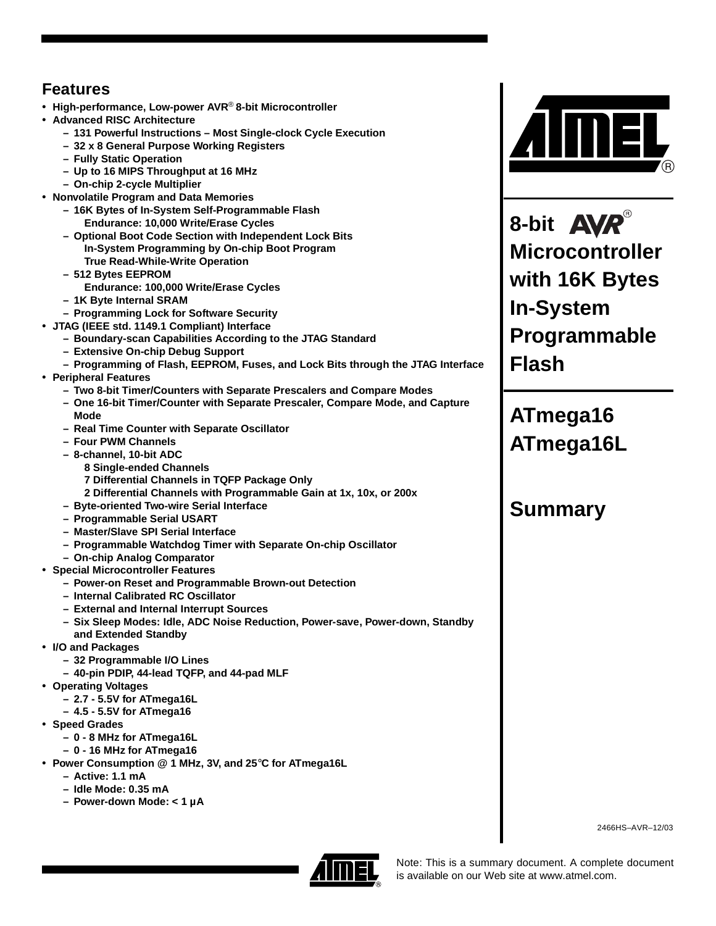### <span id="page-0-0"></span>**Features**

- **High-performance, Low-power AVR**® **8-bit Microcontroller**
- **Advanced RISC Architecture**
	- **131 Powerful Instructions Most Single-clock Cycle Execution**
	- **32 x 8 General Purpose Working Registers**
	- **Fully Static Operation**
	- **Up to 16 MIPS Throughput at 16 MHz**
	- **On-chip 2-cycle Multiplier**
- **Nonvolatile Program and Data Memories**
	- **16K Bytes of In-System Self-Programmable Flash Endurance: 10,000 Write/Erase Cycles**
	- **Optional Boot Code Section with Independent Lock Bits In-System Programming by On-chip Boot Program True Read-While-Write Operation**
	- **512 Bytes EEPROM**
	- **Endurance: 100,000 Write/Erase Cycles**
	- **1K Byte Internal SRAM**
	- **Programming Lock for Software Security**
- **JTAG (IEEE std. 1149.1 Compliant) Interface**
	- **Boundary-scan Capabilities According to the JTAG Standard**
	- **Extensive On-chip Debug Support**
	- **Programming of Flash, EEPROM, Fuses, and Lock Bits through the JTAG Interface**
- **Peripheral Features**
	- **Two 8-bit Timer/Counters with Separate Prescalers and Compare Modes**
	- **One 16-bit Timer/Counter with Separate Prescaler, Compare Mode, and Capture Mode**
	- **Real Time Counter with Separate Oscillator**
	- **Four PWM Channels**
	- **8-channel, 10-bit ADC**
		- **8 Single-ended Channels**
		- **7 Differential Channels in TQFP Package Only**
		- **2 Differential Channels with Programmable Gain at 1x, 10x, or 200x**
	- **Byte-oriented Two-wire Serial Interface**
	- **Programmable Serial USART**
	- **Master/Slave SPI Serial Interface**
	- **Programmable Watchdog Timer with Separate On-chip Oscillator**
	- **On-chip Analog Comparator**
- **Special Microcontroller Features**
	- **Power-on Reset and Programmable Brown-out Detection**
	- **Internal Calibrated RC Oscillator**
	- **External and Internal Interrupt Sources**
	- **Six Sleep Modes: Idle, ADC Noise Reduction, Power-save, Power-down, Standby and Extended Standby**
- **I/O and Packages**
	- **32 Programmable I/O Lines**
	- **40-pin PDIP, 44-lead TQFP, and 44-pad MLF**
- **Operating Voltages**
	- **2.7 5.5V for ATmega16L**
	- **4.5 5.5V for ATmega16**
- **Speed Grades**
	- **0 8 MHz for ATmega16L**
	- **0 16 MHz for ATmega16**
- **Power Consumption @ 1 MHz, 3V, and 25**°**C for ATmega16L**
	- **Active: 1.1 mA**
	- **Idle Mode: 0.35 mA**
	- **Power-down Mode: < 1 µA**



**8-bit Microcontroller with 16K Bytes In-System Programmable Flash**

## **ATmega16 ATmega16L**

## **Summary**



Note: This is a summary document. A complete document is available on our Web site at www.atmel.com.

2466HS–AVR–12/03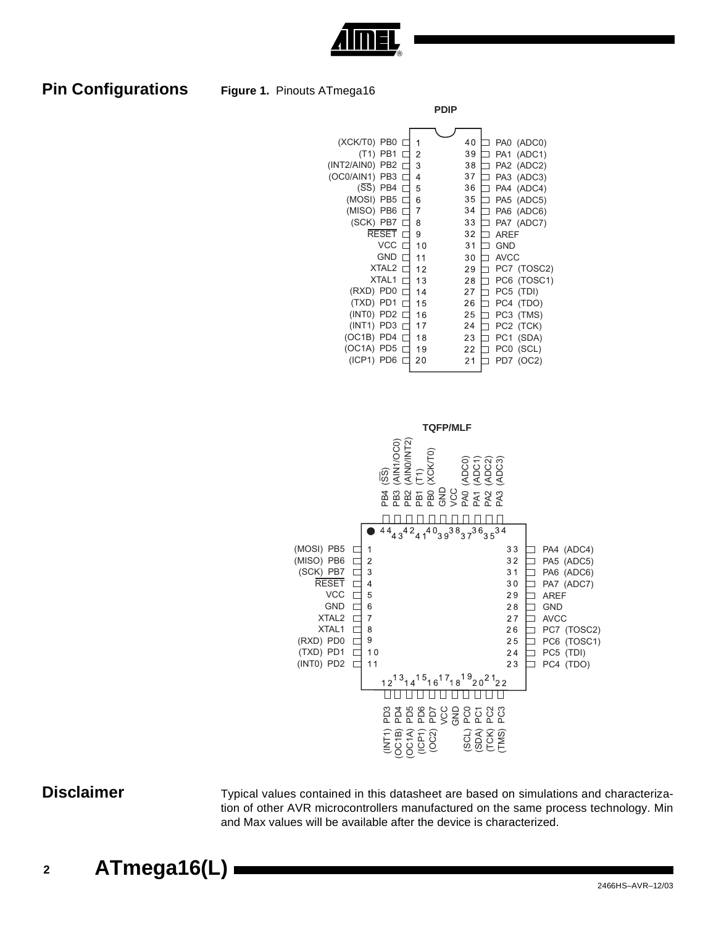

### **Pin Configurations Figure 1. Pinouts ATmega16**





**Disclaimer** Typical values contained in this datasheet are based on simulations and characterization of other AVR microcontrollers manufactured on the same process technology. Min and Max values will be available after the device is characterized.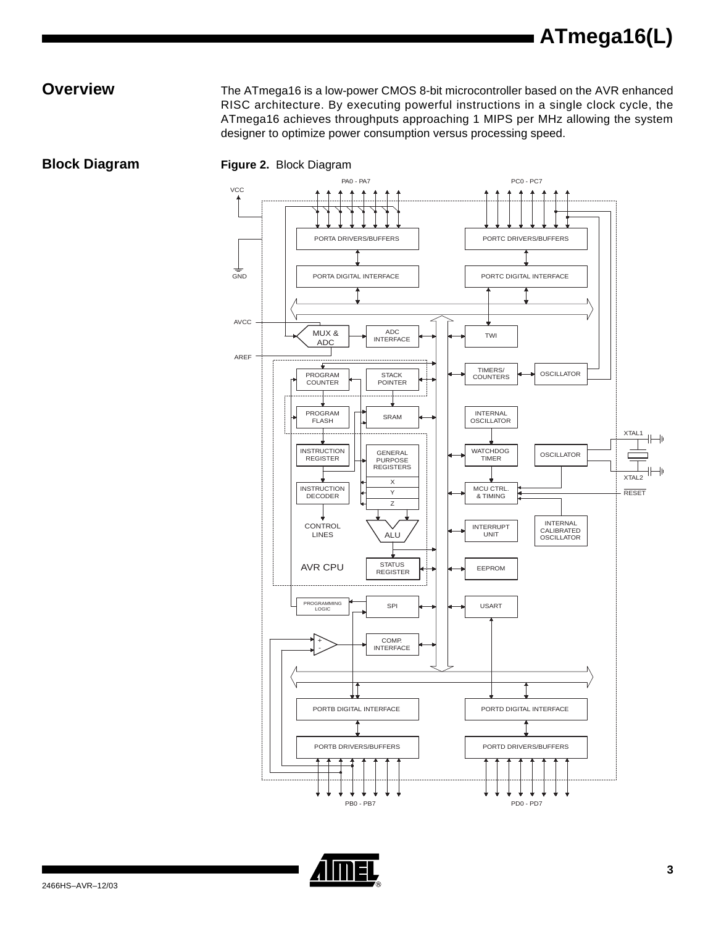**Overview** The ATmega16 is a low-power CMOS 8-bit microcontroller based on the AVR enhanced RISC architecture. By executing powerful instructions in a single clock cycle, the ATmega16 achieves throughputs approaching 1 MIPS per MHz allowing the system designer to optimize power consumption versus processing speed.



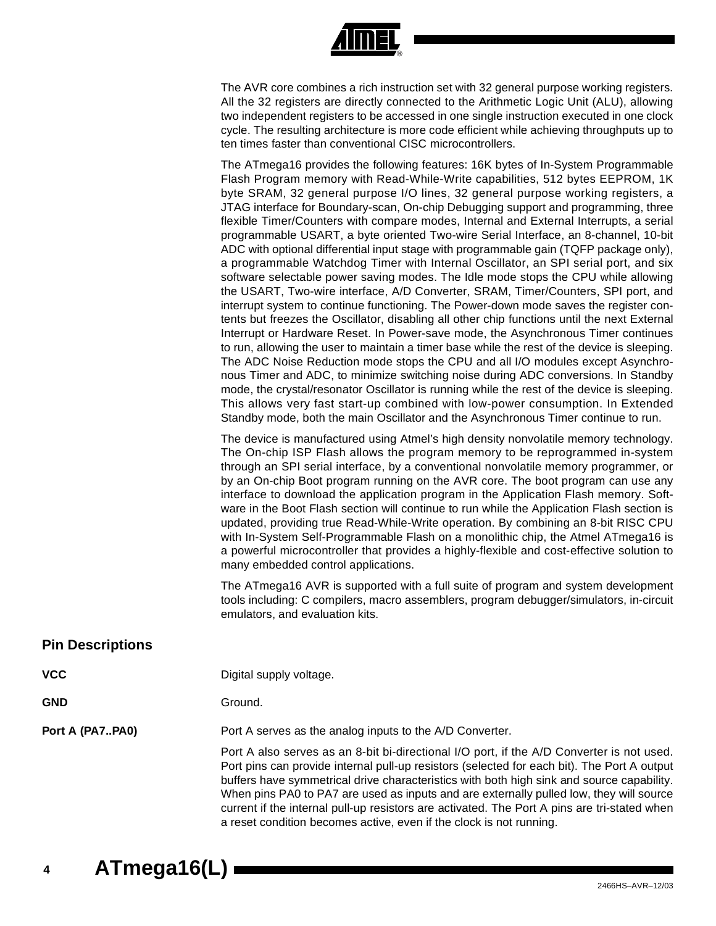

The AVR core combines a rich instruction set with 32 general purpose working registers. All the 32 registers are directly connected to the Arithmetic Logic Unit (ALU), allowing two independent registers to be accessed in one single instruction executed in one clock cycle. The resulting architecture is more code efficient while achieving throughputs up to ten times faster than conventional CISC microcontrollers.

The ATmega16 provides the following features: 16K bytes of In-System Programmable Flash Program memory with Read-While-Write capabilities, 512 bytes EEPROM, 1K byte SRAM, 32 general purpose I/O lines, 32 general purpose working registers, a JTAG interface for Boundary-scan, On-chip Debugging support and programming, three flexible Timer/Counters with compare modes, Internal and External Interrupts, a serial programmable USART, a byte oriented Two-wire Serial Interface, an 8-channel, 10-bit ADC with optional differential input stage with programmable gain (TQFP package only), a programmable Watchdog Timer with Internal Oscillator, an SPI serial port, and six software selectable power saving modes. The Idle mode stops the CPU while allowing the USART, Two-wire interface, A/D Converter, SRAM, Timer/Counters, SPI port, and interrupt system to continue functioning. The Power-down mode saves the register contents but freezes the Oscillator, disabling all other chip functions until the next External Interrupt or Hardware Reset. In Power-save mode, the Asynchronous Timer continues to run, allowing the user to maintain a timer base while the rest of the device is sleeping. The ADC Noise Reduction mode stops the CPU and all I/O modules except Asynchronous Timer and ADC, to minimize switching noise during ADC conversions. In Standby mode, the crystal/resonator Oscillator is running while the rest of the device is sleeping. This allows very fast start-up combined with low-power consumption. In Extended Standby mode, both the main Oscillator and the Asynchronous Timer continue to run.

The device is manufactured using Atmel's high density nonvolatile memory technology. The On-chip ISP Flash allows the program memory to be reprogrammed in-system through an SPI serial interface, by a conventional nonvolatile memory programmer, or by an On-chip Boot program running on the AVR core. The boot program can use any interface to download the application program in the Application Flash memory. Software in the Boot Flash section will continue to run while the Application Flash section is updated, providing true Read-While-Write operation. By combining an 8-bit RISC CPU with In-System Self-Programmable Flash on a monolithic chip, the Atmel ATmega16 is a powerful microcontroller that provides a highly-flexible and cost-effective solution to many embedded control applications.

The ATmega16 AVR is supported with a full suite of program and system development tools including: C compilers, macro assemblers, program debugger/simulators, in-circuit emulators, and evaluation kits.

### **Pin Descriptions**

| <b>VCC</b>      | Digital supply voltage.                                                                                                                                                                                                                                                                                                                                                                                                                                                                                                                                 |
|-----------------|---------------------------------------------------------------------------------------------------------------------------------------------------------------------------------------------------------------------------------------------------------------------------------------------------------------------------------------------------------------------------------------------------------------------------------------------------------------------------------------------------------------------------------------------------------|
| <b>GND</b>      | Ground.                                                                                                                                                                                                                                                                                                                                                                                                                                                                                                                                                 |
| Port A (PA7PA0) | Port A serves as the analog inputs to the A/D Converter.                                                                                                                                                                                                                                                                                                                                                                                                                                                                                                |
|                 | Port A also serves as an 8-bit bi-directional I/O port, if the A/D Converter is not used.<br>Port pins can provide internal pull-up resistors (selected for each bit). The Port A output<br>buffers have symmetrical drive characteristics with both high sink and source capability.<br>When pins PA0 to PA7 are used as inputs and are externally pulled low, they will source<br>current if the internal pull-up resistors are activated. The Port A pins are tri-stated when<br>a reset condition becomes active, even if the clock is not running. |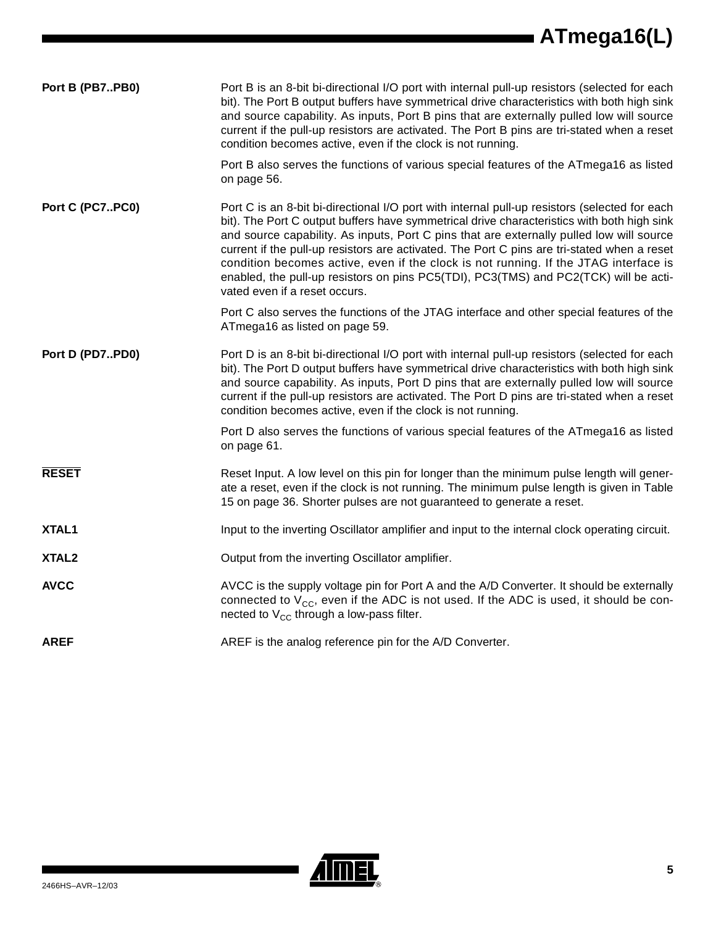| Port B (PB7PB0)   | Port B is an 8-bit bi-directional I/O port with internal pull-up resistors (selected for each<br>bit). The Port B output buffers have symmetrical drive characteristics with both high sink<br>and source capability. As inputs, Port B pins that are externally pulled low will source<br>current if the pull-up resistors are activated. The Port B pins are tri-stated when a reset<br>condition becomes active, even if the clock is not running.                                                                                                                                                   |
|-------------------|---------------------------------------------------------------------------------------------------------------------------------------------------------------------------------------------------------------------------------------------------------------------------------------------------------------------------------------------------------------------------------------------------------------------------------------------------------------------------------------------------------------------------------------------------------------------------------------------------------|
|                   | Port B also serves the functions of various special features of the ATmega16 as listed<br>on page 56.                                                                                                                                                                                                                                                                                                                                                                                                                                                                                                   |
| Port C (PC7PC0)   | Port C is an 8-bit bi-directional I/O port with internal pull-up resistors (selected for each<br>bit). The Port C output buffers have symmetrical drive characteristics with both high sink<br>and source capability. As inputs, Port C pins that are externally pulled low will source<br>current if the pull-up resistors are activated. The Port C pins are tri-stated when a reset<br>condition becomes active, even if the clock is not running. If the JTAG interface is<br>enabled, the pull-up resistors on pins PC5(TDI), PC3(TMS) and PC2(TCK) will be acti-<br>vated even if a reset occurs. |
|                   | Port C also serves the functions of the JTAG interface and other special features of the<br>ATmega16 as listed on page 59.                                                                                                                                                                                                                                                                                                                                                                                                                                                                              |
| Port D (PD7PD0)   | Port D is an 8-bit bi-directional I/O port with internal pull-up resistors (selected for each<br>bit). The Port D output buffers have symmetrical drive characteristics with both high sink<br>and source capability. As inputs, Port D pins that are externally pulled low will source<br>current if the pull-up resistors are activated. The Port D pins are tri-stated when a reset<br>condition becomes active, even if the clock is not running.                                                                                                                                                   |
|                   | Port D also serves the functions of various special features of the ATmega16 as listed<br>on page 61.                                                                                                                                                                                                                                                                                                                                                                                                                                                                                                   |
| <b>RESET</b>      | Reset Input. A low level on this pin for longer than the minimum pulse length will gener-<br>ate a reset, even if the clock is not running. The minimum pulse length is given in Table<br>15 on page 36. Shorter pulses are not guaranteed to generate a reset.                                                                                                                                                                                                                                                                                                                                         |
| XTAL1             | Input to the inverting Oscillator amplifier and input to the internal clock operating circuit.                                                                                                                                                                                                                                                                                                                                                                                                                                                                                                          |
| XTAL <sub>2</sub> | Output from the inverting Oscillator amplifier.                                                                                                                                                                                                                                                                                                                                                                                                                                                                                                                                                         |
| <b>AVCC</b>       | AVCC is the supply voltage pin for Port A and the A/D Converter. It should be externally<br>connected to $V_{CC}$ , even if the ADC is not used. If the ADC is used, it should be con-<br>nected to $V_{CC}$ through a low-pass filter.                                                                                                                                                                                                                                                                                                                                                                 |
| <b>AREF</b>       | AREF is the analog reference pin for the A/D Converter.                                                                                                                                                                                                                                                                                                                                                                                                                                                                                                                                                 |

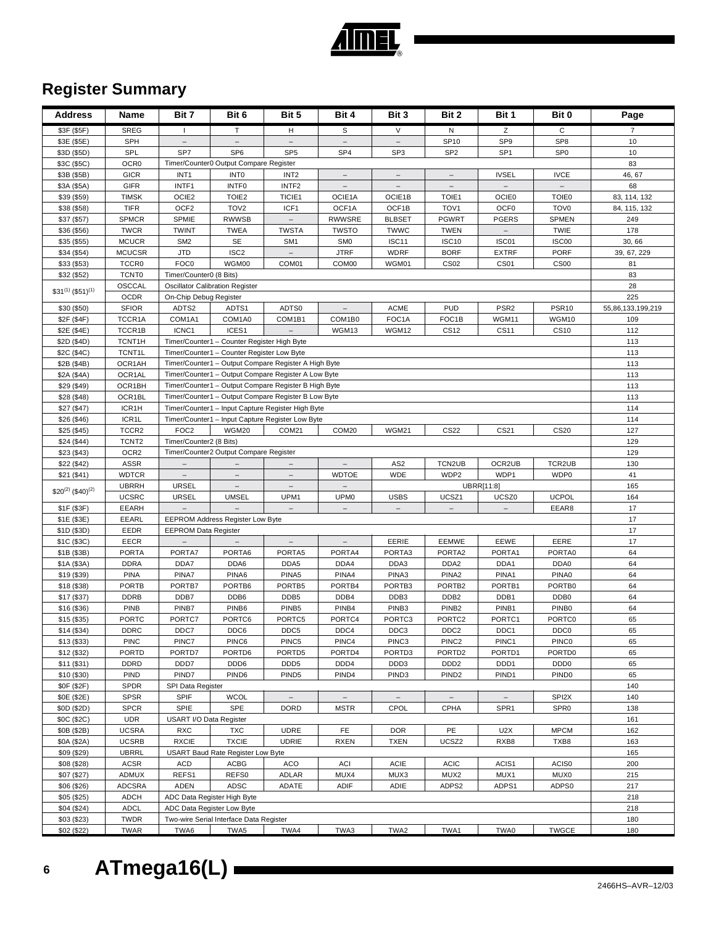| <b>Address</b>                    | Name                        | Bit 7                       | Bit 6                                       | Bit 5                                                | Bit 4                    | Bit 3                    | Bit 2                                   | Bit 1                    | Bit 0                       | Page              |
|-----------------------------------|-----------------------------|-----------------------------|---------------------------------------------|------------------------------------------------------|--------------------------|--------------------------|-----------------------------------------|--------------------------|-----------------------------|-------------------|
| \$3F (\$5F)                       | <b>SREG</b>                 |                             | T                                           | н                                                    | S                        | V                        | N                                       | Ζ                        | C                           | 7                 |
| \$3E (\$5E)                       | SPH                         | $\overline{\phantom{a}}$    | $\overline{\phantom{a}}$                    | $\qquad \qquad -$                                    | $\overline{\phantom{a}}$ | $\overline{\phantom{a}}$ | SP10                                    | SP <sub>9</sub>          | SP <sub>8</sub>             | 10                |
| \$3D (\$5D)                       | SPL                         | SP7                         | SP <sub>6</sub>                             | SP <sub>5</sub>                                      | SP <sub>4</sub>          | SP <sub>3</sub>          | SP <sub>2</sub>                         | SP <sub>1</sub>          | SP <sub>0</sub>             | 10                |
| \$3C (\$5C)                       | OCR <sub>0</sub>            |                             | Timer/Counter0 Output Compare Register      |                                                      |                          |                          |                                         |                          |                             | 83                |
| \$3B (\$5B)                       | <b>GICR</b>                 | INT <sub>1</sub>            | INT <sub>0</sub>                            | INT <sub>2</sub>                                     |                          |                          | $\overline{a}$                          | <b>IVSEL</b>             | <b>IVCE</b>                 | 46, 67            |
| \$3A (\$5A)                       | <b>GIFR</b>                 | INTF1                       | <b>INTFO</b>                                | INTF <sub>2</sub>                                    |                          |                          |                                         |                          |                             | 68                |
| \$39 (\$59)                       | <b>TIMSK</b>                | OCIE2                       | TOIE <sub>2</sub>                           | TICIE1                                               | OCIE1A                   | OCIE1B                   | TOIE1                                   | <b>OCIE0</b>             | <b>TOIE0</b>                | 83, 114, 132      |
| \$38 (\$58)                       | <b>TIFR</b>                 | OCF <sub>2</sub>            | TOV <sub>2</sub>                            | ICF1                                                 | OCF1A                    | OCF1B                    | TOV <sub>1</sub>                        | OCF <sub>0</sub>         | TOV <sub>0</sub>            | 84, 115, 132      |
| \$37 (\$57)                       | <b>SPMCR</b>                | SPMIE                       | <b>RWWSB</b>                                | $\overline{\phantom{a}}$                             | RWWSRE                   | <b>BLBSET</b>            | <b>PGWRT</b>                            | <b>PGERS</b>             | <b>SPMEN</b>                | 249               |
| \$36 (\$56)                       | <b>TWCR</b>                 | TWINT                       | <b>TWEA</b>                                 | <b>TWSTA</b>                                         | <b>TWSTO</b>             | <b>TWWC</b>              | <b>TWEN</b>                             | $\overline{\phantom{a}}$ | <b>TWIE</b>                 | 178               |
| \$35 (\$55)                       | <b>MCUCR</b>                | SM <sub>2</sub>             | <b>SE</b>                                   | SM <sub>1</sub>                                      | SM <sub>0</sub>          | ISC <sub>11</sub>        | <b>ISC10</b>                            | ISC01                    | ISC00                       | 30,66             |
| \$34 (\$54)                       | <b>MCUCSR</b>               | <b>JTD</b>                  | ISC <sub>2</sub>                            | $\overline{\phantom{0}}$                             | <b>JTRF</b>              | <b>WDRF</b>              | <b>BORF</b>                             | <b>EXTRF</b>             | <b>PORF</b>                 | 39, 67, 229       |
| \$33 (\$53)                       | TCCR <sub>0</sub>           | FOC <sub>0</sub>            | WGM00                                       | COM01                                                | COM00                    | WGM01                    | <b>CS02</b>                             | CS <sub>01</sub>         | CS <sub>00</sub>            | 81                |
| \$32 (\$52)                       | <b>TCNT0</b>                | Timer/Counter0 (8 Bits)     |                                             |                                                      |                          |                          |                                         |                          |                             | 83<br>28          |
| $$31^{(1)}$ (\$51) <sup>(1)</sup> | OSCCAL<br><b>OCDR</b>       | On-Chip Debug Register      | <b>Oscillator Calibration Register</b>      |                                                      |                          |                          |                                         |                          |                             | 225               |
| \$30 (\$50)                       | <b>SFIOR</b>                | ADTS2                       | ADTS1                                       | ADTS0                                                |                          | <b>ACME</b>              | <b>PUD</b>                              | PSR <sub>2</sub>         | PSR <sub>10</sub>           | 55,86,133,199,219 |
| \$2F (\$4F)                       | TCCR1A                      | COM1A1                      | COM1A0                                      | COM1B1                                               | COM1B0                   | FOC <sub>1</sub> A       | FOC1B                                   | WGM11                    | WGM10                       | 109               |
| \$2E (\$4E)                       | TCCR1B                      | ICNC1                       | ICES1                                       |                                                      | WGM13                    | WGM12                    | <b>CS12</b>                             | <b>CS11</b>              | <b>CS10</b>                 | 112               |
| \$2D (\$4D)                       | TCNT1H                      |                             | Timer/Counter1 - Counter Register High Byte |                                                      |                          |                          |                                         |                          |                             | 113               |
| \$2C (\$4C)                       | TCNT1L                      |                             | Timer/Counter1 - Counter Register Low Byte  |                                                      |                          |                          |                                         |                          |                             | 113               |
| \$2B (\$4B)                       | OCR1AH                      |                             |                                             | Timer/Counter1 - Output Compare Register A High Byte |                          |                          |                                         |                          |                             | 113               |
| \$2A (\$4A)                       | OCR1AL                      |                             |                                             | Timer/Counter1 - Output Compare Register A Low Byte  |                          |                          |                                         |                          |                             | 113               |
| \$29 (\$49)                       | OCR1BH                      |                             |                                             | Timer/Counter1 - Output Compare Register B High Byte |                          |                          |                                         |                          |                             | 113               |
| \$28(\$48)                        | OCR1BL                      |                             |                                             | Timer/Counter1 - Output Compare Register B Low Byte  |                          |                          |                                         |                          |                             | 113               |
| \$27(\$47)                        | ICR1H                       |                             |                                             | Timer/Counter1 - Input Capture Register High Byte    |                          |                          |                                         |                          |                             | 114               |
| \$26 (\$46)                       | ICR1L                       |                             |                                             | Timer/Counter1 - Input Capture Register Low Byte     |                          |                          |                                         |                          |                             | 114               |
| \$25(\$45)                        | TCCR <sub>2</sub>           | FOC <sub>2</sub>            | WGM20                                       | COM <sub>21</sub>                                    | COM20                    | WGM21                    | <b>CS22</b>                             | CS21                     | <b>CS20</b>                 | 127               |
| \$24 (\$44)                       | TCNT <sub>2</sub>           | Timer/Counter2 (8 Bits)     |                                             |                                                      |                          |                          |                                         |                          |                             | 129               |
| \$23(\$43)                        | OCR <sub>2</sub>            |                             | Timer/Counter2 Output Compare Register      |                                                      |                          |                          |                                         |                          |                             | 129               |
| \$22 (\$42)                       | ASSR                        | $\overline{\phantom{a}}$    |                                             |                                                      |                          | AS <sub>2</sub>          | TCN2UB                                  | OCR2UB                   | TCR2UB                      | 130               |
| \$21(\$41)                        | <b>WDTCR</b>                |                             |                                             |                                                      | <b>WDTOE</b>             | <b>WDE</b>               | WDP2                                    | WDP1                     | WDP0                        | 41                |
| $$20^{(2)}$ (\$40) <sup>(2)</sup> | <b>UBRRH</b>                | <b>URSEL</b>                | $\overline{\phantom{a}}$                    | $\overline{\phantom{a}}$                             | $\overline{\phantom{a}}$ |                          |                                         | UBRR[11:8]               |                             | 165               |
|                                   | <b>UCSRC</b>                | <b>URSEL</b>                | <b>UMSEL</b>                                | UPM1                                                 | UPM <sub>0</sub>         | <b>USBS</b>              | UCSZ1                                   | UCSZ0                    | <b>UCPOL</b>                | 164               |
| \$1F (\$3F)                       | EEARH                       |                             |                                             | $\equiv$                                             | $\qquad \qquad -$        |                          |                                         |                          | EEAR8                       | 17                |
| \$1E (\$3E)                       | EEARL                       |                             | <b>EEPROM Address Register Low Byte</b>     |                                                      |                          |                          |                                         |                          |                             | 17                |
| \$1D (\$3D)                       | EEDR                        | <b>EEPROM Data Register</b> |                                             |                                                      |                          |                          |                                         |                          |                             | 17                |
| \$1C (\$3C)                       | EECR                        | $\overline{\phantom{a}}$    | $\overline{\phantom{a}}$                    | $\overline{\phantom{a}}$                             | $\qquad \qquad -$        | EERIE                    | <b>EEMWE</b>                            | EEWE                     | EERE                        | 17                |
| \$1B (\$3B)                       | <b>PORTA</b>                | PORTA7                      | PORTA6                                      | PORTA5                                               | PORTA4                   | PORTA3                   | PORTA2                                  | PORTA1                   | PORTA0                      | 64                |
| \$1A (\$3A)                       | <b>DDRA</b>                 | DDA7                        | DDA6                                        | DDA5                                                 | DDA4                     | DDA3                     | DDA <sub>2</sub>                        | DDA1                     | DDA0                        | 64                |
| \$19 (\$39)                       | <b>PINA</b>                 | PINA7                       | PINA6                                       | PINA5                                                | PINA4                    | PINA3                    | PINA <sub>2</sub>                       | PINA1                    | PINA0                       | 64                |
| \$18(\$38)                        | <b>PORTB</b>                | PORTB7                      | PORTB6                                      | PORTB5                                               | PORTB4                   | PORTB3                   | PORTB2                                  | PORTB1                   | PORTB0                      | 64                |
| \$17(\$37)                        | <b>DDRB</b>                 | DDB7                        | DDB6                                        | DDB <sub>5</sub>                                     | DDB4                     | DDB3                     | DDB <sub>2</sub>                        | DDB1                     | DDB <sub>0</sub>            | 64                |
| \$16(\$36)                        | <b>PINB</b>                 | PINB7                       | PINB <sub>6</sub>                           | PINB <sub>5</sub>                                    | PINB4                    | PINB <sub>3</sub>        | PINB <sub>2</sub>                       | PINB1                    | PINB <sub>0</sub>           | 64                |
| \$15(\$35)                        | <b>PORTC</b>                | PORTC7                      | PORTC6                                      | PORTC5                                               | PORTC4                   | PORTC3                   | PORTC2<br>DDC2                          | PORTC1                   | PORTC0<br>DDC <sub>0</sub>  | 65                |
| \$14(\$34)                        | DDRC                        | DDC7                        | DDC6                                        | DDC5                                                 | DDC4                     | DDC3                     |                                         | DDC1                     |                             | 65<br>65          |
| \$13(\$33)<br>\$12(\$32)          | <b>PINC</b><br><b>PORTD</b> | PINC7<br>PORTD7             | PINC6<br>PORTD6                             | PINC5<br>PORTD5                                      | PINC4<br>PORTD4          | PINC3<br>PORTD3          | PINC <sub>2</sub><br>PORTD <sub>2</sub> | PINC1<br>PORTD1          | PINC <sub>0</sub><br>PORTD0 | 65                |
| \$11 (\$31)                       | <b>DDRD</b>                 | DDD7                        | DDD6                                        | DDD <sub>5</sub>                                     | DDD4                     | DDD3                     | DDD <sub>2</sub>                        | DDD1                     | DDD <sub>0</sub>            | 65                |
| \$10(\$30)                        | PIND                        | PIND7                       | PIND <sub>6</sub>                           | PIND <sub>5</sub>                                    | PIND4                    | PIND3                    | PIND <sub>2</sub>                       | PIND <sub>1</sub>        | PIND <sub>0</sub>           | 65                |
| \$0F (\$2F)                       | SPDR                        | SPI Data Register           |                                             |                                                      |                          |                          |                                         |                          |                             | 140               |
| \$0E (\$2E)                       | <b>SPSR</b>                 | <b>SPIF</b>                 | <b>WCOL</b>                                 | $\overline{\phantom{a}}$                             | $\overline{\phantom{a}}$ | $\overline{\phantom{a}}$ | $\overline{\phantom{a}}$                | $\overline{\phantom{a}}$ | SPI2X                       | 140               |
| \$0D (\$2D)                       | <b>SPCR</b>                 | SPIE                        | SPE                                         | <b>DORD</b>                                          | <b>MSTR</b>              | CPOL                     | <b>CPHA</b>                             | SPR <sub>1</sub>         | SPR <sub>0</sub>            | 138               |
| \$0C (\$2C)                       | <b>UDR</b>                  | USART I/O Data Register     |                                             |                                                      |                          |                          |                                         |                          |                             | 161               |
| \$0B (\$2B)                       | <b>UCSRA</b>                | <b>RXC</b>                  | <b>TXC</b>                                  | <b>UDRE</b>                                          | FE                       | DOR.                     | PE                                      | U2X                      | <b>MPCM</b>                 | 162               |
| \$0A (\$2A)                       | <b>UCSRB</b>                | <b>RXCIE</b>                | <b>TXCIE</b>                                | <b>UDRIE</b>                                         | <b>RXEN</b>              | <b>TXEN</b>              | UCSZ2                                   | RXB8                     | TXB8                        | 163               |
| \$09 (\$29)                       | <b>UBRRL</b>                |                             | USART Baud Rate Register Low Byte           |                                                      |                          |                          |                                         |                          |                             | 165               |
| \$08 (\$28)                       | <b>ACSR</b>                 | ACD                         | ACBG                                        | ACO                                                  | ACI                      | <b>ACIE</b>              | <b>ACIC</b>                             | ACIS1                    | ACIS0                       | 200               |
| \$07 (\$27)                       | ADMUX                       | REFS1                       | REFS0                                       | ADLAR                                                | MUX4                     | MUX3                     | MUX2                                    | MUX1                     | MUX0                        | 215               |
| \$06 (\$26)                       | ADCSRA                      | ADEN                        | ADSC                                        | ADATE                                                | ADIF                     | ADIE                     | ADPS2                                   | ADPS1                    | ADPS0                       | 217               |
| \$05(\$25)                        | <b>ADCH</b>                 |                             | ADC Data Register High Byte                 |                                                      |                          |                          |                                         |                          |                             | 218               |
| \$04 (\$24)                       | ADCL                        |                             | ADC Data Register Low Byte                  |                                                      |                          |                          |                                         |                          |                             | 218               |
| \$03(\$23)                        | <b>TWDR</b>                 |                             | Two-wire Serial Interface Data Register     |                                                      |                          |                          |                                         |                          |                             | 180               |
| \$02 (\$22)                       | TWAR                        | TWA6                        | TWA5                                        | TWA4                                                 | TWA3                     | TWA2                     | TWA1                                    | TWA0                     | <b>TWGCE</b>                | 180               |



### **Register Summary**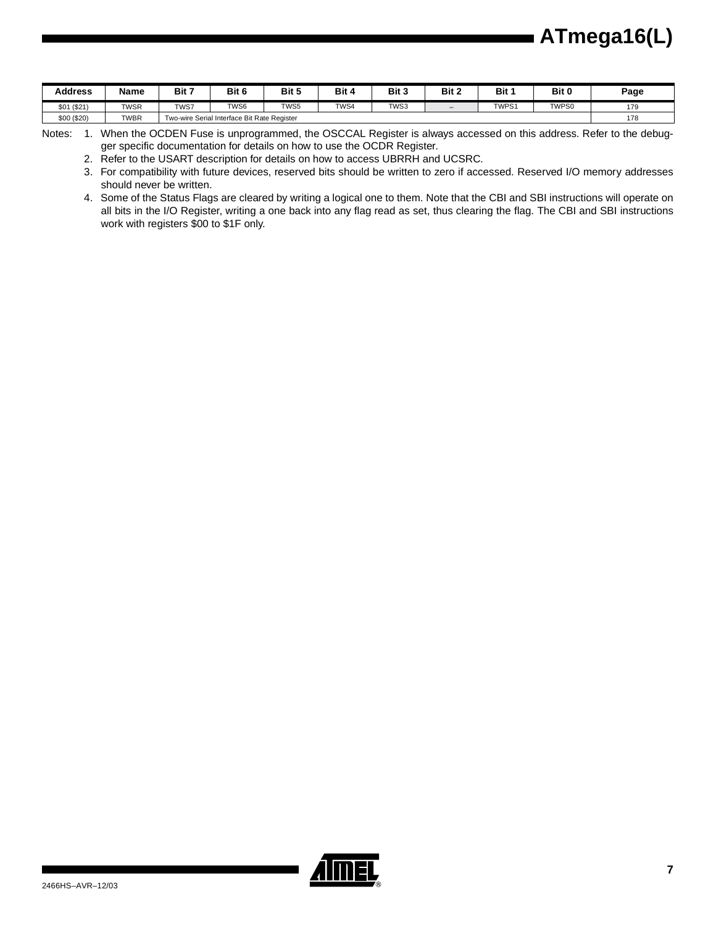| <b>Address</b> | Name        | Bit 7                                       | Bit 6 | Bit 5 | Bit 4 | Bit 3 | Bit 2                    | Bit 1 | Bit 0 | Page |
|----------------|-------------|---------------------------------------------|-------|-------|-------|-------|--------------------------|-------|-------|------|
| \$01 (\$21)    | <b>TWSR</b> | TWS7                                        | TWS6  | TWS5  | TWS4  | TWS3  | $\overline{\phantom{0}}$ | TWPS1 | TWPS0 | 179  |
| \$00(\$20)     | <b>TWBR</b> | Two-wire Serial Interface Bit Rate Register |       |       |       |       | 178                      |       |       |      |

Notes: 1. When the OCDEN Fuse is unprogrammed, the OSCCAL Register is always accessed on this address. Refer to the debugger specific documentation for details on how to use the OCDR Register.

2. Refer to the USART description for details on how to access UBRRH and UCSRC.

3. For compatibility with future devices, reserved bits should be written to zero if accessed. Reserved I/O memory addresses should never be written.

4. Some of the Status Flags are cleared by writing a logical one to them. Note that the CBI and SBI instructions will operate on all bits in the I/O Register, writing a one back into any flag read as set, thus clearing the flag. The CBI and SBI instructions work with registers \$00 to \$1F only.

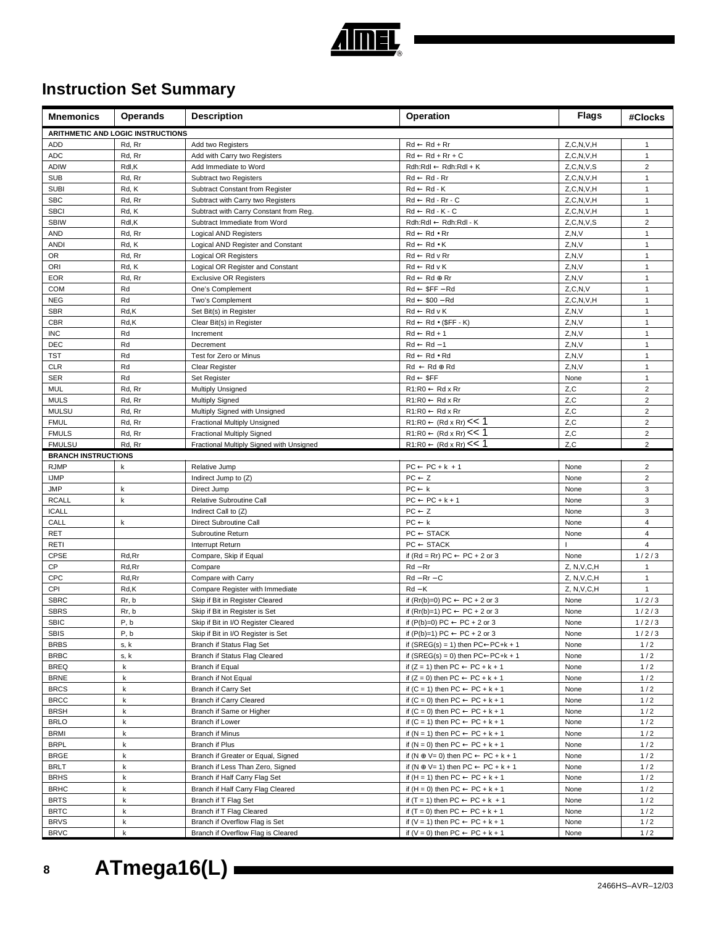

## **Instruction Set Summary**

| <b>Mnemonics</b>           | <b>Operands</b>                          | <b>Description</b>                                                    | Operation                                                                        | <b>Flags</b>             | #Clocks                      |
|----------------------------|------------------------------------------|-----------------------------------------------------------------------|----------------------------------------------------------------------------------|--------------------------|------------------------------|
|                            | <b>ARITHMETIC AND LOGIC INSTRUCTIONS</b> |                                                                       |                                                                                  |                          |                              |
| <b>ADD</b>                 | Rd, Rr                                   | Add two Registers                                                     | $Rd \leftarrow Rd + Rr$                                                          | Z, C, N, V, H            | $\mathbf{1}$                 |
| ADC                        | Rd, Rr                                   | Add with Carry two Registers                                          | $Rd \leftarrow Rd + Rr + C$                                                      | Z, C, N, V, H            | $\mathbf{1}$                 |
| <b>ADIW</b>                | Rdl,K                                    | Add Immediate to Word                                                 | $Rdh:Rdl \leftarrow Rdh:Rdl + K$                                                 | Z, C, N, V, S            | $\overline{2}$               |
| <b>SUB</b>                 | Rd, Rr                                   | Subtract two Registers                                                | $Rd \leftarrow Rd$ - $Rr$                                                        | Z, C, N, V, H            | $\mathbf{1}$                 |
| <b>SUBI</b>                | Rd, K                                    | Subtract Constant from Register                                       | $Rd \leftarrow Rd - K$                                                           | Z, C, N, V, H            | $\mathbf{1}$                 |
| <b>SBC</b>                 | Rd, Rr                                   | Subtract with Carry two Registers                                     | $Rd \leftarrow Rd - Rr - C$                                                      | Z, C, N, V, H            | $\mathbf{1}$                 |
| <b>SBCI</b>                | Rd, K                                    | Subtract with Carry Constant from Reg.                                | $Rd \leftarrow Rd - K - C$                                                       | Z, C, N, V, H            | $\mathbf{1}$                 |
| <b>SBIW</b>                | Rdl,K                                    | Subtract Immediate from Word                                          | Rdh:Rdl ← Rdh:Rdl - K                                                            | Z, C, N, V, S            | $\overline{2}$               |
| AND                        | Rd, Rr                                   | Logical AND Registers                                                 | $Rd \leftarrow Rd \bullet Rr$                                                    | Z, N, V                  | $\mathbf{1}$                 |
| <b>ANDI</b>                | Rd, K                                    | Logical AND Register and Constant                                     | $Rd \leftarrow Rd \bullet K$                                                     | Z, N, V                  | $\mathbf{1}$                 |
| OR                         | Rd, Rr                                   | <b>Logical OR Registers</b>                                           | $Rd \leftarrow Rd$ v $Rr$                                                        | Z, N, V                  | $\mathbf{1}$                 |
| <b>ORI</b>                 | Rd, K                                    | Logical OR Register and Constant                                      | $Rd \leftarrow Rd \vee K$                                                        | Z, N, V                  | $\mathbf{1}$                 |
| <b>EOR</b>                 | Rd, Rr                                   | <b>Exclusive OR Registers</b>                                         | $Rd \leftarrow Rd \oplus Rr$                                                     | Z, N, V                  | $\mathbf{1}$                 |
| <b>COM</b>                 | Rd<br>Rd                                 | One's Complement                                                      | $Rd \leftarrow$ \$FF - Rd                                                        | Z, C, N, V               | $\mathbf{1}$<br>$\mathbf{1}$ |
| <b>NEG</b><br><b>SBR</b>   | Rd,K                                     | Two's Complement                                                      | $Rd \leftarrow $00 - Rd$<br>$Rd \leftarrow Rd \vee K$                            | Z, C, N, V, H<br>Z, N, V | $\mathbf{1}$                 |
| <b>CBR</b>                 | Rd,K                                     | Set Bit(s) in Register<br>Clear Bit(s) in Register                    | $Rd \leftarrow Rd \bullet (SFF - K)$                                             | Z, N, V                  | $\mathbf{1}$                 |
| <b>INC</b>                 | Rd                                       | Increment                                                             | $Rd \leftarrow Rd + 1$                                                           | Z, N, V                  | $\mathbf{1}$                 |
| <b>DEC</b>                 | Rd                                       | Decrement                                                             | $Rd \leftarrow Rd - 1$                                                           | Z, N, V                  | $\mathbf{1}$                 |
| <b>TST</b>                 | Rd                                       | Test for Zero or Minus                                                | $Rd \leftarrow Rd \bullet Rd$                                                    | Z, N, V                  | $\mathbf{1}$                 |
| <b>CLR</b>                 | Rd                                       | Clear Register                                                        | $Rd \leftarrow Rd \oplus Rd$                                                     | Z, N, V                  | $\mathbf{1}$                 |
| <b>SER</b>                 | Rd                                       | Set Register                                                          | $Rd \leftarrow$ \$FF                                                             | None                     | $\mathbf{1}$                 |
| <b>MUL</b>                 | Rd, Rr                                   | <b>Multiply Unsigned</b>                                              | $R1:R0 \leftarrow Rd \times Rr$                                                  | Z,C                      | $\sqrt{2}$                   |
| <b>MULS</b>                | Rd, Rr                                   | <b>Multiply Signed</b>                                                | $R1:R0 \leftarrow Rd \times Rr$                                                  | Z, C                     | $\overline{2}$               |
| <b>MULSU</b>               | Rd, Rr                                   | Multiply Signed with Unsigned                                         | $R1:R0 \leftarrow Rd \times Rr$                                                  | Z, C                     | $\overline{c}$               |
| <b>FMUL</b>                | Rd, Rr                                   | Fractional Multiply Unsigned                                          | $R1:R0 \leftarrow (Rd \times Rr) \leq 1$                                         | Z, C                     | $\overline{2}$               |
| <b>FMULS</b>               | Rd, Rr                                   | <b>Fractional Multiply Signed</b>                                     | $R1:R0 \leftarrow (Rd \times Rr) \leq 1$                                         | Z,C                      | $\overline{2}$               |
| <b>FMULSU</b>              | Rd, Rr                                   | Fractional Multiply Signed with Unsigned                              | $R1:R0 \leftarrow (Rd \times Rr) \leq 1$                                         | Z,C                      | $\overline{2}$               |
| <b>BRANCH INSTRUCTIONS</b> |                                          |                                                                       |                                                                                  |                          |                              |
| <b>RJMP</b>                | k                                        | Relative Jump                                                         | $PC \leftarrow PC + k + 1$                                                       | None                     | $\overline{2}$               |
| <b>IJMP</b>                |                                          | Indirect Jump to (Z)                                                  | $PC \leftarrow Z$                                                                | None                     | $\overline{2}$               |
| <b>JMP</b>                 | k                                        | Direct Jump                                                           | $PC \leftarrow k$                                                                | None                     | 3                            |
| <b>RCALL</b>               | $\sf k$                                  | Relative Subroutine Call                                              | $PC \leftarrow PC + k + 1$                                                       | None                     | 3                            |
| <b>ICALL</b>               |                                          | Indirect Call to (Z)                                                  | $PC \leftarrow Z$                                                                | None                     | 3                            |
| CALL                       | k                                        | Direct Subroutine Call                                                | $PC \leftarrow k$                                                                | None                     | $\overline{4}$               |
| <b>RET</b>                 |                                          | Subroutine Return                                                     | $PC \leftarrow$ STACK                                                            | None                     | $\overline{4}$               |
| RETI                       |                                          | Interrupt Return                                                      | $PC \leftarrow$ STACK                                                            |                          | $\overline{4}$               |
| CPSE                       | Rd,Rr                                    | Compare, Skip if Equal                                                | if $(Rd = Rr) PC \leftarrow PC + 2$ or 3                                         | None                     | 1/2/3                        |
| CP                         | Rd, Rr                                   | Compare                                                               | $Rd - Rr$                                                                        | Z, N, V, C, H            | $\mathbf{1}$                 |
| CPC                        | Rd, Rr                                   | Compare with Carry                                                    | $Rd - Rr - C$                                                                    | Z, N, V, C, H            | $\mathbf{1}$                 |
| CPI                        | Rd,K                                     | Compare Register with Immediate                                       | $Rd - K$                                                                         | Z, N, V, C, H            | $\mathbf{1}$                 |
| <b>SBRC</b>                | Rr, b                                    | Skip if Bit in Register Cleared                                       | if $(Rr(b)=0) PC \leftarrow PC + 2$ or 3                                         | None                     | 1/2/3                        |
| <b>SBRS</b><br><b>SBIC</b> | Rr, b                                    | Skip if Bit in Register is Set<br>Skip if Bit in I/O Register Cleared | if $(Rr(b)=1) PC \leftarrow PC + 2$ or 3                                         | None                     | 1/2/3                        |
|                            | P, b                                     |                                                                       | if $(P(b)=0) PC \leftarrow PC + 2$ or 3                                          | None                     | 1/2/3                        |
| SBIS<br><b>BRBS</b>        | P, b<br>s, k                             | Skip if Bit in I/O Register is Set<br>Branch if Status Flag Set       | if (P(b)=1) PC ← PC + 2 or 3<br>if (SREG(s) = 1) then $PC \leftarrow PC + k + 1$ | None<br>None             | 1/2/3<br>1/2                 |
| <b>BRBC</b>                | s, k                                     | Branch if Status Flag Cleared                                         | if (SREG(s) = 0) then $PC \leftarrow PC + k + 1$                                 | None                     | 1/2                          |
| <b>BREQ</b>                | $\sf k$                                  | Branch if Equal                                                       | if $(Z = 1)$ then PC $\leftarrow$ PC + k + 1                                     | None                     | 1/2                          |
| <b>BRNE</b>                | $\sf k$                                  | Branch if Not Equal                                                   | if $(Z = 0)$ then $PC \leftarrow PC + k + 1$                                     | None                     | 1/2                          |
| <b>BRCS</b>                | $\sf k$                                  | Branch if Carry Set                                                   | if $(C = 1)$ then $PC \leftarrow PC + k + 1$                                     | None                     | 1/2                          |
| <b>BRCC</b>                | $\sf k$                                  | Branch if Carry Cleared                                               | if $(C = 0)$ then $PC \leftarrow PC + k + 1$                                     | None                     | 1/2                          |
| <b>BRSH</b>                | $\sf k$                                  | Branch if Same or Higher                                              | if $(C = 0)$ then $PC \leftarrow PC + k + 1$                                     | None                     | 1/2                          |
| <b>BRLO</b>                | $\sf k$                                  | Branch if Lower                                                       | if $(C = 1)$ then $PC \leftarrow PC + k + 1$                                     | None                     | 1/2                          |
| <b>BRMI</b>                | $\mathsf k$                              | <b>Branch if Minus</b>                                                | if $(N = 1)$ then $PC \leftarrow PC + k + 1$                                     | None                     | 1/2                          |
| <b>BRPL</b>                | $\sf k$                                  | Branch if Plus                                                        | if $(N = 0)$ then PC $\leftarrow$ PC + k + 1                                     | None                     | 1/2                          |
| <b>BRGE</b>                | k                                        | Branch if Greater or Equal, Signed                                    | if $(N \oplus V = 0)$ then $PC \leftarrow PC + k + 1$                            | None                     | 1/2                          |
| <b>BRLT</b>                | k                                        | Branch if Less Than Zero, Signed                                      | if $(N \oplus V = 1)$ then PC $\leftarrow$ PC + k + 1                            | None                     | 1/2                          |
| <b>BRHS</b>                | k                                        | Branch if Half Carry Flag Set                                         | if $(H = 1)$ then PC $\leftarrow$ PC + k + 1                                     | None                     | 1/2                          |
| <b>BRHC</b>                | k                                        | Branch if Half Carry Flag Cleared                                     | if $(H = 0)$ then PC $\leftarrow$ PC + k + 1                                     | None                     | 1/2                          |
| <b>BRTS</b>                | $\sf k$                                  | Branch if T Flag Set                                                  | if $(T = 1)$ then PC $\leftarrow$ PC + k + 1                                     | None                     | 1/2                          |
| <b>BRTC</b>                | $\sf k$                                  | Branch if T Flag Cleared                                              | if $(T = 0)$ then $PC \leftarrow PC + k + 1$                                     | None                     | 1/2                          |
| <b>BRVS</b>                | $\sf k$                                  | Branch if Overflow Flag is Set                                        | if $(V = 1)$ then $PC \leftarrow PC + k + 1$                                     | None                     | 1/2                          |
| <b>BRVC</b>                | $\mathsf k$                              | Branch if Overflow Flag is Cleared                                    | if $(V = 0)$ then $PC \leftarrow PC + k + 1$                                     | None                     | 1/2                          |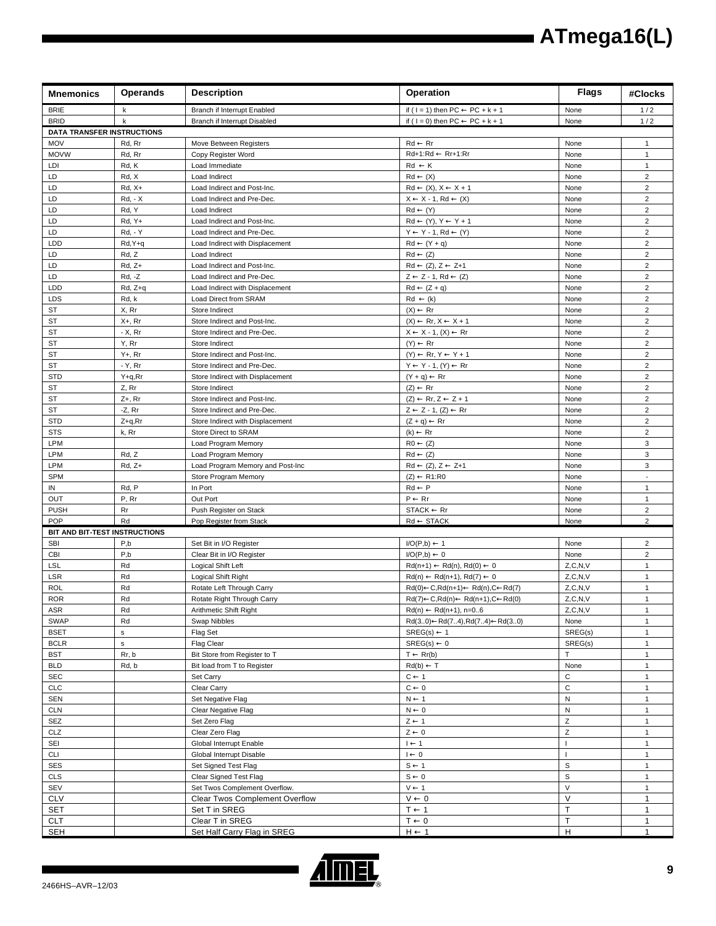| <b>Mnemonics</b>                  | <b>Operands</b>  | <b>Description</b>                                       | Operation                                                                                        | <b>Flags</b>               | #Clocks                                 |
|-----------------------------------|------------------|----------------------------------------------------------|--------------------------------------------------------------------------------------------------|----------------------------|-----------------------------------------|
| <b>BRIE</b>                       | k                | Branch if Interrupt Enabled                              | if ( $1 = 1$ ) then $PC \leftarrow PC + k + 1$                                                   | None                       | 1/2                                     |
| <b>BRID</b>                       | $\mathsf{k}$     | Branch if Interrupt Disabled                             | if ( $1 = 0$ ) then PC $\leftarrow$ PC + k + 1                                                   | None                       | 1/2                                     |
| <b>DATA TRANSFER INSTRUCTIONS</b> |                  |                                                          |                                                                                                  |                            |                                         |
| <b>MOV</b>                        | Rd, Rr           | Move Between Registers                                   | $Rd \leftarrow Rr$                                                                               | None                       | $\mathbf{1}$                            |
| <b>MOVW</b><br>LDI                | Rd, Rr           | Copy Register Word                                       | $Rd+1:Rd \leftarrow Rr+1:Rr$<br>$Rd \leftarrow K$                                                | None                       | $\mathbf{1}$<br>$\mathbf{1}$            |
| LD                                | Rd, K<br>Rd, X   | Load Immediate<br>Load Indirect                          | $Rd \leftarrow (X)$                                                                              | None<br>None               | $\overline{c}$                          |
| LD                                | $Rd, X+$         | Load Indirect and Post-Inc.                              | $Rd \leftarrow (X), X \leftarrow X + 1$                                                          | None                       | $\overline{2}$                          |
| LD                                | <b>Rd.</b> - X   | Load Indirect and Pre-Dec.                               | $X \leftarrow X - 1$ , Rd $\leftarrow (X)$                                                       | None                       | $\overline{2}$                          |
| LD                                | Rd, Y            | Load Indirect                                            | $Rd \leftarrow (Y)$                                                                              | None                       | $\overline{\mathbf{c}}$                 |
| LD                                | Rd, Y+           | Load Indirect and Post-Inc.                              | $Rd \leftarrow (Y), Y \leftarrow Y + 1$                                                          | None                       | $\overline{2}$                          |
| LD                                | <b>Rd, - Y</b>   | Load Indirect and Pre-Dec.                               | $Y \leftarrow Y - 1$ , Rd $\leftarrow (Y)$                                                       | None                       | $\boldsymbol{2}$                        |
| LDD                               | Rd, Y+q          | Load Indirect with Displacement                          | $Rd \leftarrow (Y + q)$                                                                          | None                       | $\boldsymbol{2}$                        |
| LD                                | Rd, Z            | Load Indirect                                            | $Rd \leftarrow (Z)$                                                                              | None                       | $\overline{2}$                          |
| LD                                | $Rd, Z+$         | Load Indirect and Post-Inc.                              | $Rd \leftarrow (Z), Z \leftarrow Z+1$                                                            | None                       | $\overline{2}$                          |
| LD<br>LDD                         | Rd, -Z           | Load Indirect and Pre-Dec.                               | $Z \leftarrow Z - 1$ , Rd $\leftarrow (Z)$                                                       | None                       | $\overline{2}$                          |
| <b>LDS</b>                        | Rd, Z+q<br>Rd, k | Load Indirect with Displacement<br>Load Direct from SRAM | $Rd \leftarrow (Z + q)$                                                                          | None<br>None               | $\boldsymbol{2}$<br>$\mathbf 2$         |
| ST                                | X, Rr            | Store Indirect                                           | $Rd \leftarrow (k)$<br>$(X) \leftarrow Rr$                                                       | None                       | $\overline{2}$                          |
| <b>ST</b>                         | X+, Rr           | Store Indirect and Post-Inc.                             | $(X) \leftarrow \mathsf{Rr}, X \leftarrow X + 1$                                                 | None                       | $\overline{2}$                          |
| <b>ST</b>                         | $-X, Rr$         | Store Indirect and Pre-Dec.                              | $X \leftarrow X - 1$ , $(X) \leftarrow Rr$                                                       | None                       | $\overline{2}$                          |
| <b>ST</b>                         | Y, Rr            | Store Indirect                                           | $(Y) \leftarrow Rr$                                                                              | None                       | $\overline{\mathbf{c}}$                 |
| ST                                | $Y + Rr$         | Store Indirect and Post-Inc.                             | $(Y) \leftarrow \mathsf{Rr}, Y \leftarrow Y + 1$                                                 | None                       | $\overline{2}$                          |
| <b>ST</b>                         | - Y, Rr          | Store Indirect and Pre-Dec.                              | $Y \leftarrow Y - 1$ , $(Y) \leftarrow Rr$                                                       | None                       | $\mathbf 2$                             |
| <b>STD</b>                        | Y+q,Rr           | Store Indirect with Displacement                         | $(Y + q) \leftarrow Rr$                                                                          | None                       | $\overline{2}$                          |
| <b>ST</b>                         | Z, Rr            | Store Indirect                                           | $(Z) \leftarrow Rr$                                                                              | None                       | $\overline{2}$                          |
| <b>ST</b>                         | $Z+$ , Rr        | Store Indirect and Post-Inc.                             | $(Z) \leftarrow \mathsf{Rr}, Z \leftarrow Z + 1$                                                 | None                       | $\overline{2}$                          |
| <b>ST</b>                         | $-Z$ , Rr        | Store Indirect and Pre-Dec.                              | $Z \leftarrow Z - 1, (Z) \leftarrow Rr$                                                          | None                       | $\overline{2}$                          |
| <b>STD</b>                        | $Z+q, Rr$        | Store Indirect with Displacement                         | $(Z + q) \leftarrow Rr$                                                                          | None                       | $\mathbf 2$                             |
| <b>STS</b><br>LPM                 | k, Rr            | Store Direct to SRAM<br>Load Program Memory              | $(k) \leftarrow Rr$                                                                              | None<br>None               | $\mathbf 2$<br>3                        |
| <b>LPM</b>                        | Rd, Z            | Load Program Memory                                      | $R0 \leftarrow (Z)$<br>$Rd \leftarrow (Z)$                                                       | None                       | 3                                       |
| <b>LPM</b>                        | Rd, Z+           | Load Program Memory and Post-Inc                         | $Rd \leftarrow (Z), Z \leftarrow Z+1$                                                            | None                       | 3                                       |
| SPM                               |                  | Store Program Memory                                     | $(Z) \leftarrow R1:R0$                                                                           | None                       | ÷,                                      |
| IN                                | Rd, P            | In Port                                                  | $Rd \leftarrow P$                                                                                | None                       | $\mathbf{1}$                            |
| OUT                               | P, Rr            | Out Port                                                 | $P \leftarrow Rr$                                                                                | None                       | $\mathbf{1}$                            |
| <b>PUSH</b>                       | Rr               | Push Register on Stack                                   | $STACK \leftarrow Rr$                                                                            | None                       | $\overline{2}$                          |
| POP                               | Rd               | Pop Register from Stack                                  | $Rd \leftarrow$ STACK                                                                            | None                       | $\overline{2}$                          |
| BIT AND BIT-TEST INSTRUCTIONS     |                  |                                                          |                                                                                                  |                            |                                         |
| <b>SBI</b>                        | P,b              | Set Bit in I/O Register                                  | $I/O(P,b) \leftarrow 1$                                                                          | None                       | $\overline{2}$                          |
| CBI<br>LSL                        | P,b<br>Rd        | Clear Bit in I/O Register<br>Logical Shift Left          | $I/O(P,b) \leftarrow 0$                                                                          | None<br>Z, C, N, V         | $\overline{\mathbf{c}}$<br>$\mathbf{1}$ |
| LSR                               | Rd               | Logical Shift Right                                      | $Rd(n+1) \leftarrow Rd(n), Rd(0) \leftarrow 0$<br>$Rd(n) \leftarrow Rd(n+1), Rd(7) \leftarrow 0$ | Z, C, N, V                 | $\mathbf{1}$                            |
| <b>ROL</b>                        | Rd               | Rotate Left Through Carry                                | $Rd(0) \leftarrow C, Rd(n+1) \leftarrow Rd(n), C \leftarrow Rd(7)$                               | Z, C, N, V                 | 1                                       |
| <b>ROR</b>                        | Rd               | Rotate Right Through Carry                               | $Rd(7) \leftarrow C, Rd(n) \leftarrow Rd(n+1), C \leftarrow Rd(0)$                               | Z, C, N, V                 | $\mathbf{1}$                            |
| ASR                               | Rd               | Arithmetic Shift Right                                   | $Rd(n) \leftarrow Rd(n+1), n=06$                                                                 | Z,C,N,V                    | 1                                       |
| SWAP                              | Rd               | Swap Nibbles                                             | $Rd(30) \leftarrow Rd(74), Rd(74) \leftarrow Rd(30)$                                             | None                       | $\mathbf{1}$                            |
| <b>BSET</b>                       | $\sf{s}$         | Flag Set                                                 | $SREG(s) \leftarrow 1$                                                                           | SREG(s)                    | $\mathbf{1}$                            |
| <b>BCLR</b>                       | $\mathbf{s}$     | Flag Clear                                               | $SREG(s) \leftarrow 0$                                                                           | SREG(s)                    | 1                                       |
| <b>BST</b>                        | Rr, b            | Bit Store from Register to T                             | $T \leftarrow Rr(b)$                                                                             | T                          | $\mathbf{1}$                            |
| <b>BLD</b>                        | Rd, b            | Bit load from T to Register                              | $Rd(b) \leftarrow T$                                                                             | None                       | $\mathbf{1}$                            |
| <b>SEC</b>                        |                  | Set Carry<br>Clear Carry                                 | $C \leftarrow 1$<br>$C \leftarrow 0$                                                             | $\mathbf C$<br>$\mathbf C$ | $\mathbf{1}$<br>$\mathbf{1}$            |
| CLC<br>SEN                        |                  | Set Negative Flag                                        | $N \leftarrow 1$                                                                                 | $\mathsf N$                | $\mathbf{1}$                            |
| <b>CLN</b>                        |                  | Clear Negative Flag                                      | $\mathsf{N} \leftarrow \mathsf{0}$                                                               | ${\sf N}$                  | $\mathbf{1}$                            |
| SEZ                               |                  | Set Zero Flag                                            | $Z \leftarrow 1$                                                                                 | $\mathsf Z$                | $\mathbf{1}$                            |
| CLZ                               |                  | Clear Zero Flag                                          | $Z \leftarrow 0$                                                                                 | $\mathsf Z$                | $\mathbf{1}$                            |
| SEI                               |                  | Global Interrupt Enable                                  | $I \leftarrow 1$                                                                                 | $\mathbf{I}$               | $\mathbf{1}$                            |
| <b>CLI</b>                        |                  | Global Interrupt Disable                                 | $I \leftarrow 0$                                                                                 | $\mathbf{I}$               | $\mathbf{1}$                            |
| <b>SES</b>                        |                  | Set Signed Test Flag                                     | $S \leftarrow 1$                                                                                 | $\mathbf S$                | $\mathbf{1}$                            |
| <b>CLS</b>                        |                  | Clear Signed Test Flag                                   | $\texttt{S} \gets \texttt{0}$                                                                    | $\mathbf S$                | $\mathbf{1}$                            |
| SEV                               |                  | Set Twos Complement Overflow.                            | $V \leftarrow 1$                                                                                 | $\lor$                     | $\mathbf{1}$                            |
| <b>CLV</b>                        |                  | Clear Twos Complement Overflow                           | $V \leftarrow 0$                                                                                 | $\vee$                     | 1                                       |
| <b>SET</b>                        |                  | Set T in SREG<br>Clear T in SREG                         | $T \leftarrow 1$                                                                                 | T<br>T                     | $\mathbf{1}$                            |
| <b>CLT</b><br><b>SEH</b>          |                  | Set Half Carry Flag in SREG                              | $0 \rightarrow T$<br>$H \leftarrow 1$                                                            | Н                          | 1<br>$\mathbf{1}$                       |

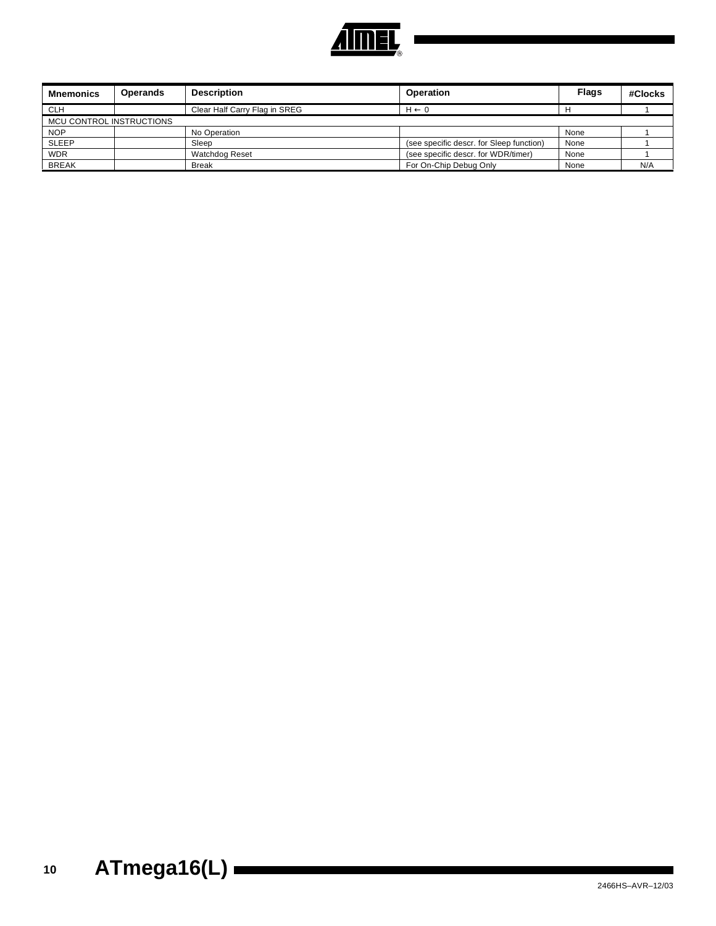

| <b>Mnemonics</b>         | <b>Operands</b> | <b>Description</b>            | <b>Operation</b>                         | <b>Flags</b> | #Clocks |
|--------------------------|-----------------|-------------------------------|------------------------------------------|--------------|---------|
| <b>CLH</b>               |                 | Clear Half Carry Flag in SREG | $H \leftarrow 0$                         |              |         |
| MCU CONTROL INSTRUCTIONS |                 |                               |                                          |              |         |
| <b>NOP</b>               |                 | No Operation                  |                                          | None         |         |
| <b>SLEEP</b>             |                 | Sleep                         | (see specific descr. for Sleep function) | None         |         |
| <b>WDR</b>               |                 | Watchdog Reset                | (see specific descr. for WDR/timer)      | None         |         |
| <b>BREAK</b>             |                 | <b>Break</b>                  | For On-Chip Debug Only                   | None         | N/A     |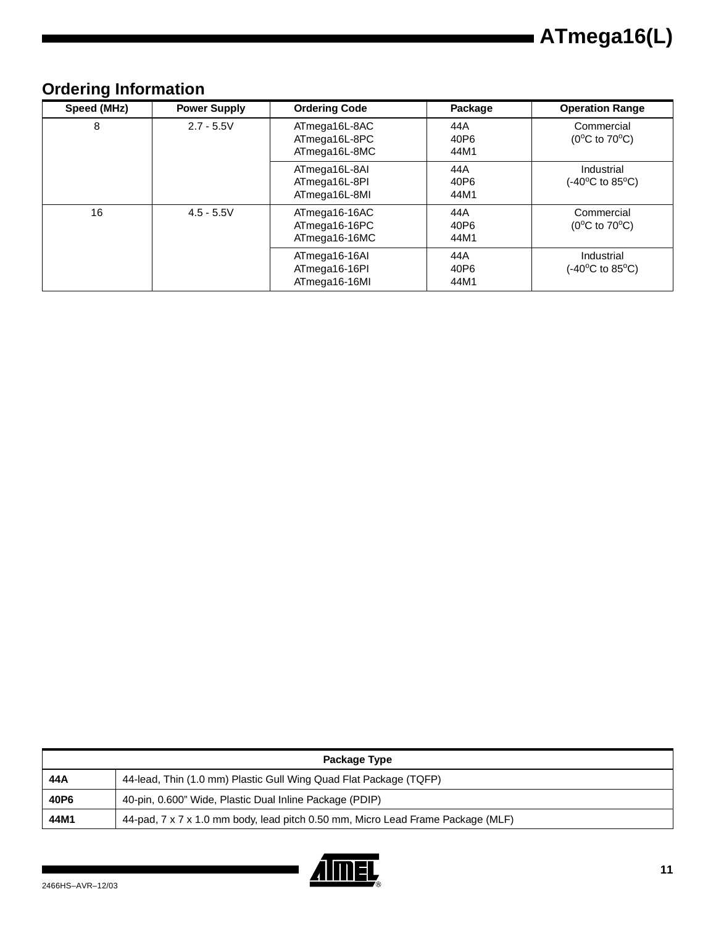## <span id="page-10-0"></span>**Ordering Information**

| Speed (MHz) | <b>Power Supply</b> | <b>Ordering Code</b>                            | Package             | <b>Operation Range</b>                                  |
|-------------|---------------------|-------------------------------------------------|---------------------|---------------------------------------------------------|
| 8           | $2.7 - 5.5V$        | ATmega16L-8AC<br>ATmega16L-8PC<br>ATmega16L-8MC | 44A<br>40P6<br>44M1 | Commercial<br>$(0^{\circ}C$ to $70^{\circ}C)$           |
|             |                     | ATmega16L-8AI<br>ATmega16L-8PI<br>ATmega16L-8MI | 44A<br>40P6<br>44M1 | Industrial<br>$(-40^{\circ}C \text{ to } 85^{\circ}C)$  |
| 16          | $4.5 - 5.5V$        | ATmega16-16AC<br>ATmega16-16PC<br>ATmega16-16MC | 44A<br>40P6<br>44M1 | Commercial<br>$(0^{\circ}C \text{ to } 70^{\circ}C)$    |
|             |                     | ATmega16-16AI<br>ATmega16-16PI<br>ATmega16-16MI | 44A<br>40P6<br>44M1 | Industrial<br>(-40 <sup>o</sup> C to 85 <sup>o</sup> C) |

| <b>Package Type</b> |                                                                                 |  |  |  |
|---------------------|---------------------------------------------------------------------------------|--|--|--|
| 44A                 | 44-lead, Thin (1.0 mm) Plastic Gull Wing Quad Flat Package (TQFP)               |  |  |  |
| 40P6                | 40-pin, 0.600" Wide, Plastic Dual Inline Package (PDIP)                         |  |  |  |
| 44M1                | 44-pad, 7 x 7 x 1.0 mm body, lead pitch 0.50 mm, Micro Lead Frame Package (MLF) |  |  |  |

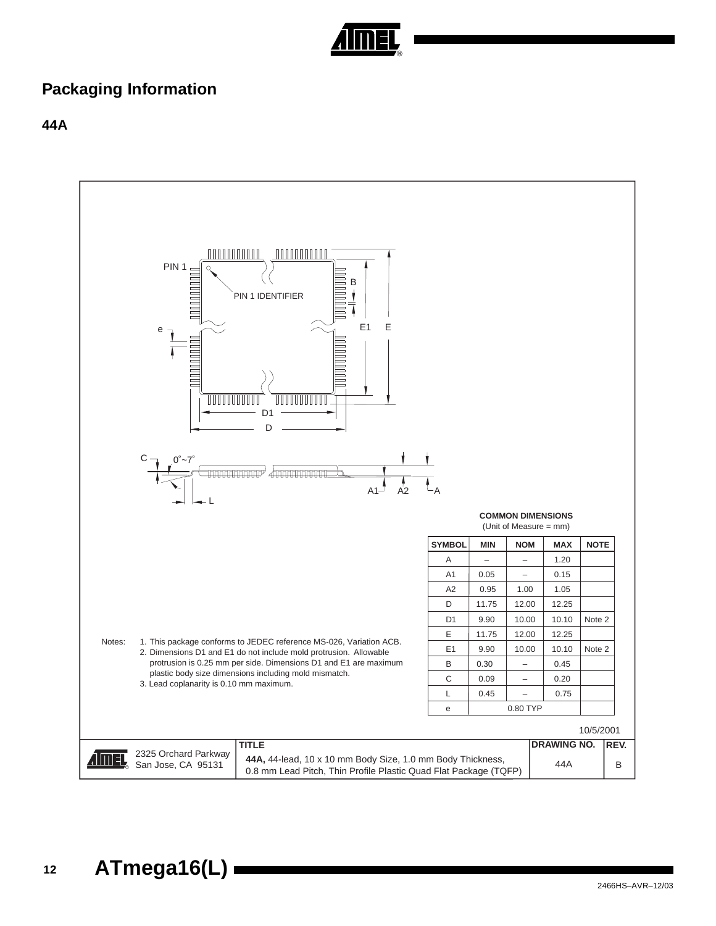

### <span id="page-11-0"></span>**Packaging Information**

**44A**

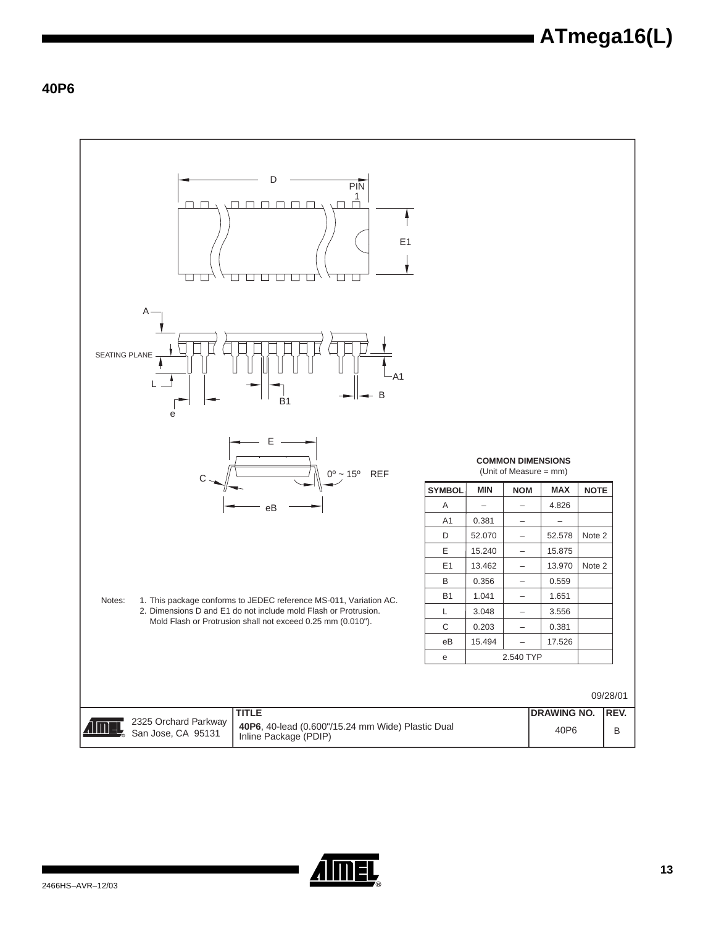

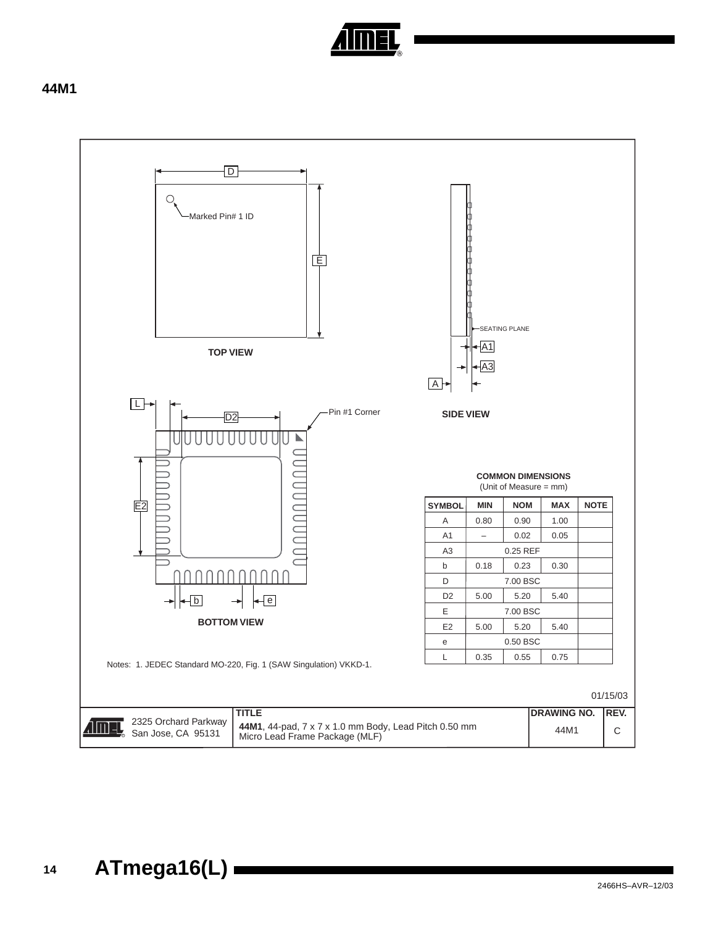

### **44M1**

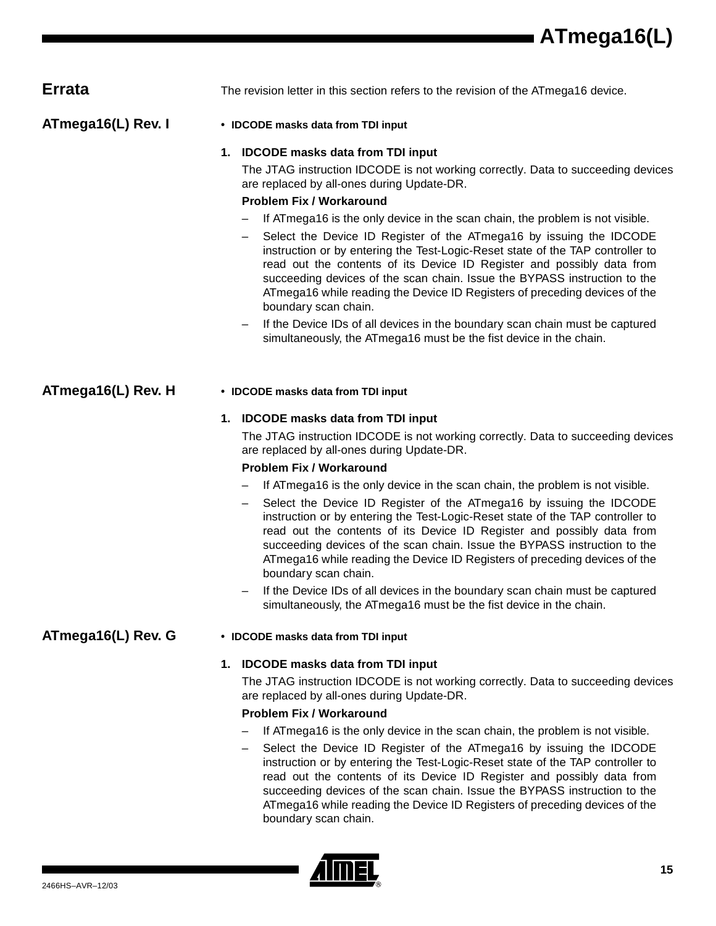<span id="page-14-0"></span>

| <b>Errata</b>      | The revision letter in this section refers to the revision of the ATmega16 device.                                                                                                                                                                                                                                                                                                                                                                                                                                                                                                                                                                                                                                                                                                                                                                                                |  |  |  |  |
|--------------------|-----------------------------------------------------------------------------------------------------------------------------------------------------------------------------------------------------------------------------------------------------------------------------------------------------------------------------------------------------------------------------------------------------------------------------------------------------------------------------------------------------------------------------------------------------------------------------------------------------------------------------------------------------------------------------------------------------------------------------------------------------------------------------------------------------------------------------------------------------------------------------------|--|--|--|--|
| ATmega16(L) Rev. I | • IDCODE masks data from TDI input                                                                                                                                                                                                                                                                                                                                                                                                                                                                                                                                                                                                                                                                                                                                                                                                                                                |  |  |  |  |
|                    | <b>IDCODE</b> masks data from TDI input<br>1.<br>The JTAG instruction IDCODE is not working correctly. Data to succeeding devices<br>are replaced by all-ones during Update-DR.<br><b>Problem Fix / Workaround</b><br>If AT mega16 is the only device in the scan chain, the problem is not visible.<br>Select the Device ID Register of the ATmega16 by issuing the IDCODE<br>instruction or by entering the Test-Logic-Reset state of the TAP controller to<br>read out the contents of its Device ID Register and possibly data from<br>succeeding devices of the scan chain. Issue the BYPASS instruction to the<br>ATmega16 while reading the Device ID Registers of preceding devices of the<br>boundary scan chain.<br>If the Device IDs of all devices in the boundary scan chain must be captured<br>simultaneously, the ATmega16 must be the fist device in the chain.  |  |  |  |  |
| ATmega16(L) Rev. H | • IDCODE masks data from TDI input                                                                                                                                                                                                                                                                                                                                                                                                                                                                                                                                                                                                                                                                                                                                                                                                                                                |  |  |  |  |
|                    | <b>IDCODE</b> masks data from TDI input<br>1.<br>The JTAG instruction IDCODE is not working correctly. Data to succeeding devices<br>are replaced by all-ones during Update-DR.<br><b>Problem Fix / Workaround</b><br>If AT mega 16 is the only device in the scan chain, the problem is not visible.<br>Select the Device ID Register of the ATmega16 by issuing the IDCODE<br>instruction or by entering the Test-Logic-Reset state of the TAP controller to<br>read out the contents of its Device ID Register and possibly data from<br>succeeding devices of the scan chain. Issue the BYPASS instruction to the<br>ATmega16 while reading the Device ID Registers of preceding devices of the<br>boundary scan chain.<br>If the Device IDs of all devices in the boundary scan chain must be captured<br>simultaneously, the ATmega16 must be the fist device in the chain. |  |  |  |  |
| ATmega16(L) Rev. G | • IDCODE masks data from TDI input                                                                                                                                                                                                                                                                                                                                                                                                                                                                                                                                                                                                                                                                                                                                                                                                                                                |  |  |  |  |
|                    | <b>IDCODE</b> masks data from TDI input<br>1.<br>The JTAG instruction IDCODE is not working correctly. Data to succeeding devices<br>are replaced by all-ones during Update-DR.<br><b>Problem Fix / Workaround</b><br>If AT mega16 is the only device in the scan chain, the problem is not visible.<br>Select the Device ID Register of the ATmega16 by issuing the IDCODE<br>instruction or by entering the Test-Logic-Reset state of the TAP controller to<br>read out the contents of its Device ID Register and possibly data from<br>succeeding devices of the scan chain. Issue the BYPASS instruction to the                                                                                                                                                                                                                                                              |  |  |  |  |



boundary scan chain.

ATmega16 while reading the Device ID Registers of preceding devices of the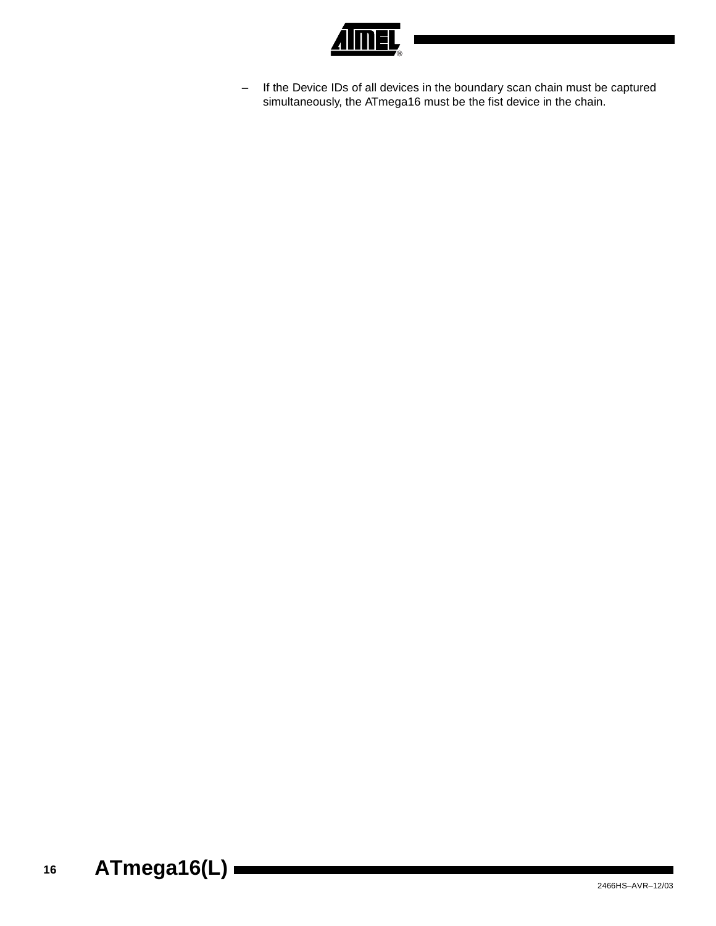

– If the Device IDs of all devices in the boundary scan chain must be captured simultaneously, the ATmega16 must be the fist device in the chain.

# **<sup>16</sup> ATmega16(L)**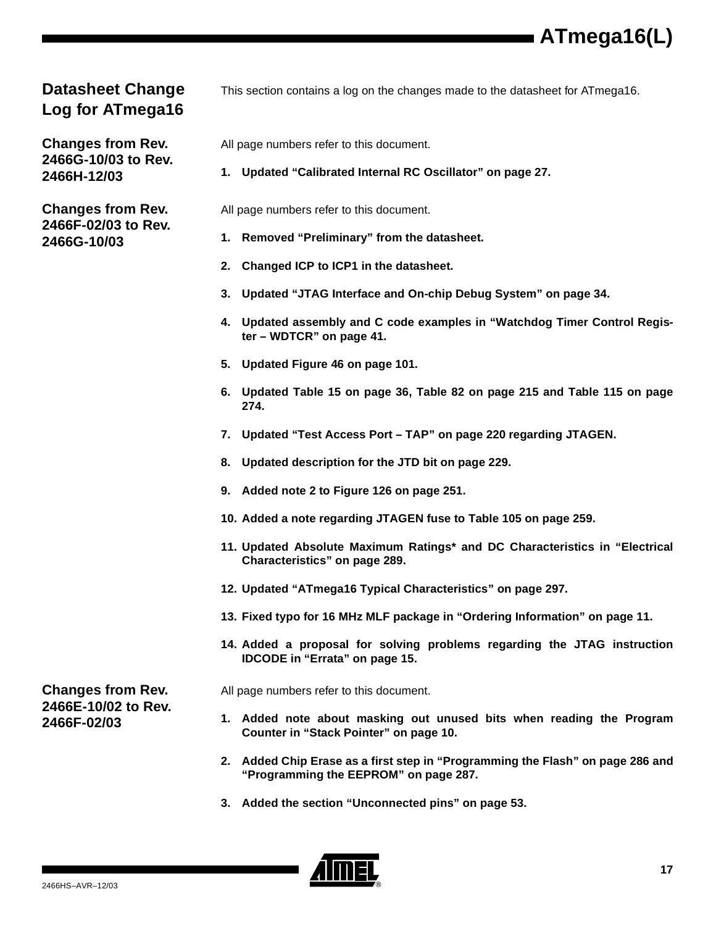### **Datasheet Change Log for ATmega16**

**Changes from Rev. 2466G-10/03 to Rev. 2466H-12/03**

**Changes from Rev. 2466F-02/03 to Rev. 2466G-10/03**

This section contains a log on the changes made to the datasheet for ATmega16.

All page numbers refer to this document.

**1. Updated "Calibrated Internal RC Oscillator" on page 27.**

All page numbers refer to this document.

- **1. Removed "Preliminary" from the datasheet.**
- **2. Changed ICP to ICP1 in the datasheet.**
- **3. Updated "JTAG Interface and On-chip Debug System" on page 34.**
- **4. Updated assembly and C code examples in "Watchdog Timer Control Register – WDTCR" on page 41.**
- **5. Updated Figure 46 on page 101.**
- **6. Updated Table 15 on page 36, Table 82 on page 215 and Table 115 on page 274.**
- **7. Updated "Test Access Port TAP" on page 220 regarding JTAGEN.**
- **8. Updated description for the JTD bit on page 229.**
- **9. Added note 2 to Figure 126 on page 251.**
- **10. Added a note regarding JTAGEN fuse to Table 105 on page 259.**
- **11. Updated Absolute Maximum Ratings\* and DC Characteristics in "Electrical Characteristics" on page 289.**
- **12. Updated "ATmega16 Typical Characteristics" on page 297.**
- **13. Fixed typo for 16 MHz MLF package in ["Ordering Information" on page 11.](#page-10-0)**
- **14. Added a proposal for solving problems regarding the JTAG instruction IDCODE in ["Errata" on page 15](#page-14-0).**

**Changes from Rev. 2466E-10/02 to Rev. 2466F-02/03**

- All page numbers refer to this document.
- **1. Added note about masking out unused bits when reading the Program Counter in "Stack Pointer" on page 10.**
- **2. Added Chip Erase as a first step in "Programming the Flash" on page 286 and "Programming the EEPROM" on page 287.**
- **3. Added the section "Unconnected pins" on page 53.**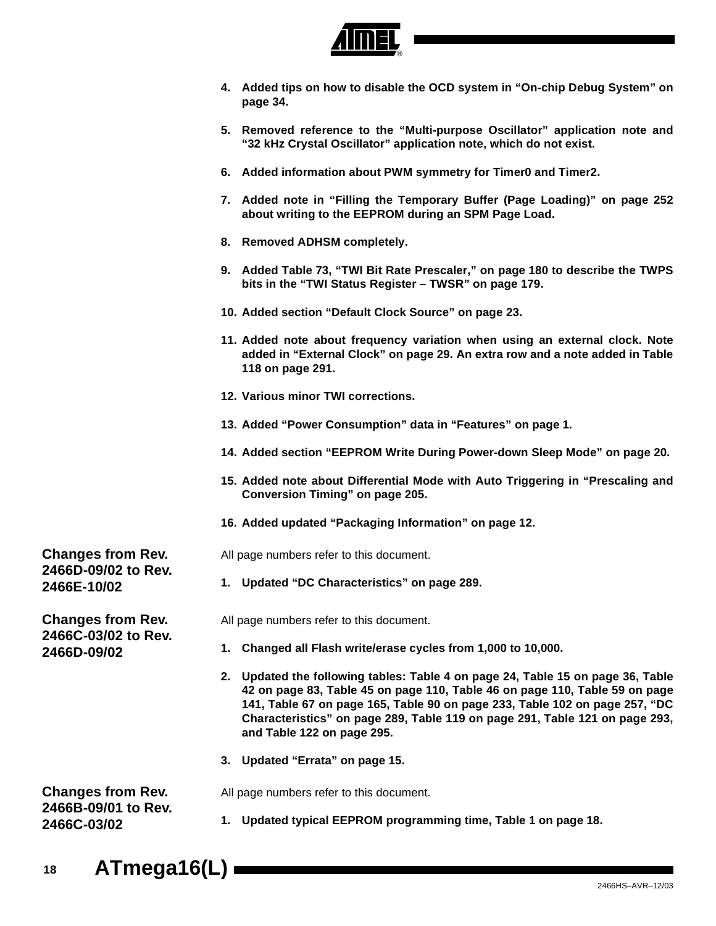

- **4. Added tips on how to disable the OCD system in "On-chip Debug System" on page 34.**
- **5. Removed reference to the "Multi-purpose Oscillator" application note and "32 kHz Crystal Oscillator" application note, which do not exist.**
- **6. Added information about PWM symmetry for Timer0 and Timer2.**
- **7. Added note in "Filling the Temporary Buffer (Page Loading)" on page 252 about writing to the EEPROM during an SPM Page Load.**
- **8. Removed ADHSM completely.**
- **9. Added Table 73, "TWI Bit Rate Prescaler," on page 180 to describe the TWPS bits in the "TWI Status Register – TWSR" on page 179.**
- **10. Added section "Default Clock Source" on page 23.**
- **11. Added note about frequency variation when using an external clock. Note added in "External Clock" on page 29. An extra row and a note added in Table 118 on page 291.**
- **12. Various minor TWI corrections.**
- **13. Added "Power Consumption" data in ["Features" on page 1.](#page-0-0)**
- **14. Added section "EEPROM Write During Power-down Sleep Mode" on page 20.**
- **15. Added note about Differential Mode with Auto Triggering in "Prescaling and Conversion Timing" on page 205.**
- **16. Added updated ["Packaging Information" on page 12](#page-11-0).**

All page numbers refer to this document.

**1. Updated "DC Characteristics" on page 289.**

All page numbers refer to this document.

- **1. Changed all Flash write/erase cycles from 1,000 to 10,000.**
- **2. Updated the following tables: Table 4 on page 24, Table 15 on page 36, Table 42 on page 83, Table 45 on page 110, Table 46 on page 110, Table 59 on page 141, Table 67 on page 165, Table 90 on page 233, Table 102 on page 257, "DC Characteristics" on page 289, Table 119 on page 291, Table 121 on page 293, and Table 122 on page 295.**
- **3. Updated ["Errata" on page 15.](#page-14-0)**

All page numbers refer to this document.

**Changes from Rev. 2466B-09/01 to Rev. 2466C-03/02**

**1. Updated typical EEPROM programming time, Table 1 on page 18.**

**<sup>18</sup> ATmega16(L)**

**Changes from Rev. 2466D-09/02 to Rev. 2466E-10/02**

**Changes from Rev. 2466C-03/02 to Rev. 2466D-09/02**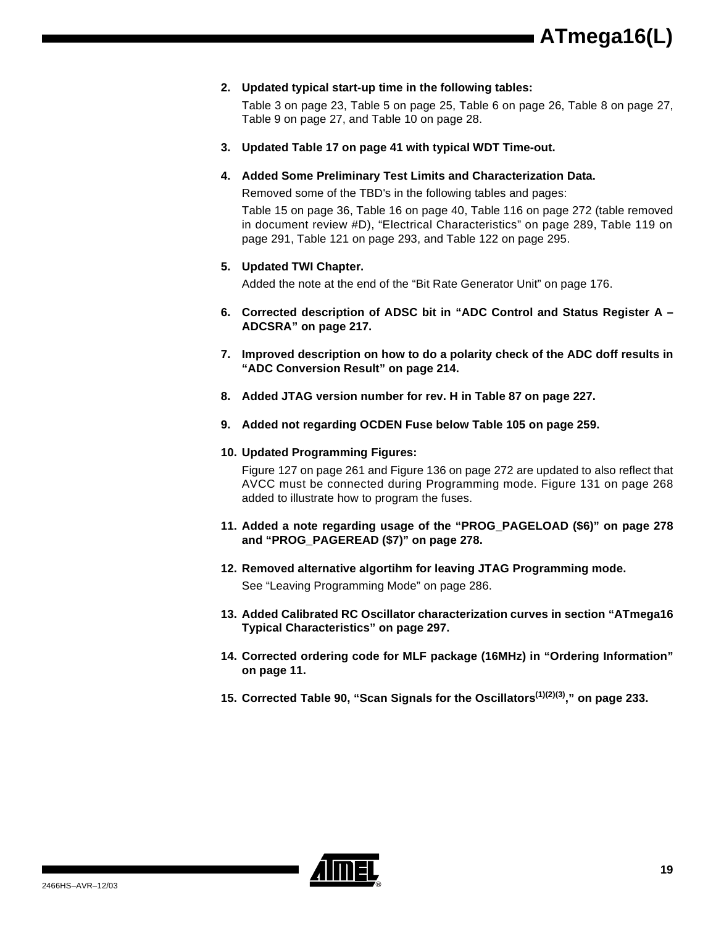#### **2. Updated typical start-up time in the following tables:**

Table 3 on page 23, Table 5 on page 25, Table 6 on page 26, Table 8 on page 27, Table 9 on page 27, and Table 10 on page 28.

**3. Updated Table 17 on page 41 with typical WDT Time-out.**

#### **4. Added Some Preliminary Test Limits and Characterization Data.**

Removed some of the TBD's in the following tables and pages:

Table 15 on page 36, Table 16 on page 40, Table 116 on page 272 (table removed in document review #D), "Electrical Characteristics" on page 289, Table 119 on page 291, Table 121 on page 293, and Table 122 on page 295.

#### **5. Updated TWI Chapter.**

Added the note at the end of the "Bit Rate Generator Unit" on page 176.

- **6. Corrected description of ADSC bit in "ADC Control and Status Register A – ADCSRA" on page 217.**
- **7. Improved description on how to do a polarity check of the ADC doff results in "ADC Conversion Result" on page 214.**
- **8. Added JTAG version number for rev. H in Table 87 on page 227.**
- **9. Added not regarding OCDEN Fuse below Table 105 on page 259.**

#### **10. Updated Programming Figures:**

Figure 127 on page 261 and Figure 136 on page 272 are updated to also reflect that AVCC must be connected during Programming mode. Figure 131 on page 268 added to illustrate how to program the fuses.

- **11. Added a note regarding usage of the "PROG\_PAGELOAD (\$6)" on page 278 and "PROG\_PAGEREAD (\$7)" on page 278.**
- **12. Removed alternative algortihm for leaving JTAG Programming mode.**  See "Leaving Programming Mode" on page 286.

**13. Added Calibrated RC Oscillator characterization curves in section "ATmega16 Typical Characteristics" on page 297.**

- **14. Corrected ordering code for MLF package (16MHz) in ["Ordering Information"](#page-10-0) [on page 11](#page-10-0).**
- **15. Corrected Table 90, "Scan Signals for the Oscillators(1)(2)(3)," on page 233.**